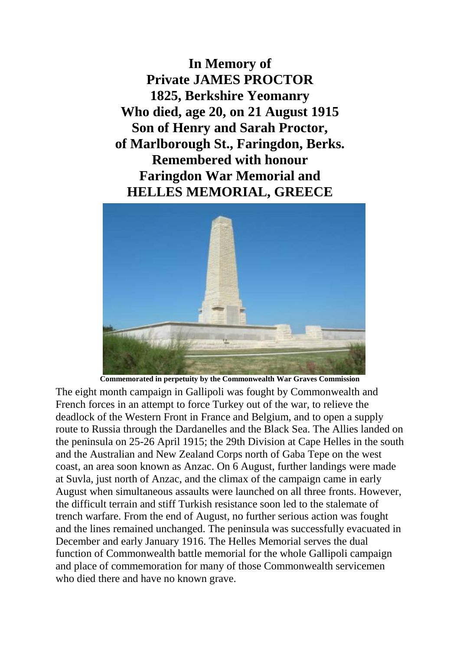**In Memory of Private JAMES PROCTOR 1825, Berkshire Yeomanry Who died, age 20, on 21 August 1915 Son of Henry and Sarah Proctor, of Marlborough St., Faringdon, Berks. Remembered with honour Faringdon War Memorial and HELLES MEMORIAL, GREECE**



**Commemorated in perpetuity by the Commonwealth War Graves Commission** 

The eight month campaign in Gallipoli was fought by Commonwealth and French forces in an attempt to force Turkey out of the war, to relieve the deadlock of the Western Front in France and Belgium, and to open a supply route to Russia through the Dardanelles and the Black Sea. The Allies landed on the peninsula on 25-26 April 1915; the 29th Division at Cape Helles in the south and the Australian and New Zealand Corps north of Gaba Tepe on the west coast, an area soon known as Anzac. On 6 August, further landings were made at Suvla, just north of Anzac, and the climax of the campaign came in early August when simultaneous assaults were launched on all three fronts. However, the difficult terrain and stiff Turkish resistance soon led to the stalemate of trench warfare. From the end of August, no further serious action was fought and the lines remained unchanged. The peninsula was successfully evacuated in December and early January 1916. The Helles Memorial serves the dual function of Commonwealth battle memorial for the whole Gallipoli campaign and place of commemoration for many of those Commonwealth servicemen who died there and have no known grave.